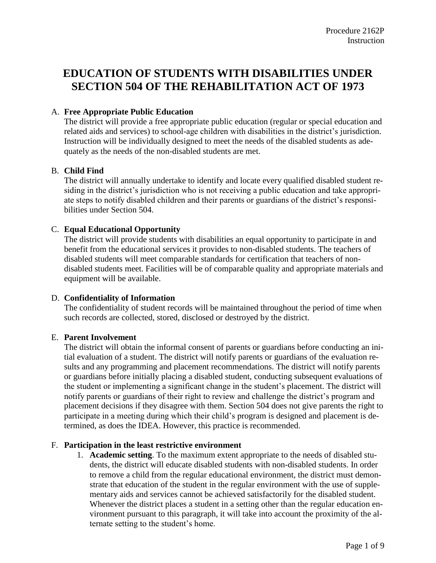# **EDUCATION OF STUDENTS WITH DISABILITIES UNDER SECTION 504 OF THE REHABILITATION ACT OF 1973**

# A. **Free Appropriate Public Education**

The district will provide a free appropriate public education (regular or special education and related aids and services) to school-age children with disabilities in the district's jurisdiction. Instruction will be individually designed to meet the needs of the disabled students as adequately as the needs of the non-disabled students are met.

#### B. **Child Find**

The district will annually undertake to identify and locate every qualified disabled student residing in the district's jurisdiction who is not receiving a public education and take appropriate steps to notify disabled children and their parents or guardians of the district's responsibilities under Section 504.

#### C. **Equal Educational Opportunity**

The district will provide students with disabilities an equal opportunity to participate in and benefit from the educational services it provides to non-disabled students. The teachers of disabled students will meet comparable standards for certification that teachers of nondisabled students meet. Facilities will be of comparable quality and appropriate materials and equipment will be available.

#### D. **Confidentiality of Information**

The confidentiality of student records will be maintained throughout the period of time when such records are collected, stored, disclosed or destroyed by the district.

#### E. **Parent Involvement**

The district will obtain the informal consent of parents or guardians before conducting an initial evaluation of a student. The district will notify parents or guardians of the evaluation results and any programming and placement recommendations. The district will notify parents or guardians before initially placing a disabled student, conducting subsequent evaluations of the student or implementing a significant change in the student's placement. The district will notify parents or guardians of their right to review and challenge the district's program and placement decisions if they disagree with them. Section 504 does not give parents the right to participate in a meeting during which their child's program is designed and placement is determined, as does the IDEA. However, this practice is recommended.

#### F. **Participation in the least restrictive environment**

1. **Academic setting**. To the maximum extent appropriate to the needs of disabled students, the district will educate disabled students with non-disabled students. In order to remove a child from the regular educational environment, the district must demonstrate that education of the student in the regular environment with the use of supplementary aids and services cannot be achieved satisfactorily for the disabled student. Whenever the district places a student in a setting other than the regular education environment pursuant to this paragraph, it will take into account the proximity of the alternate setting to the student's home.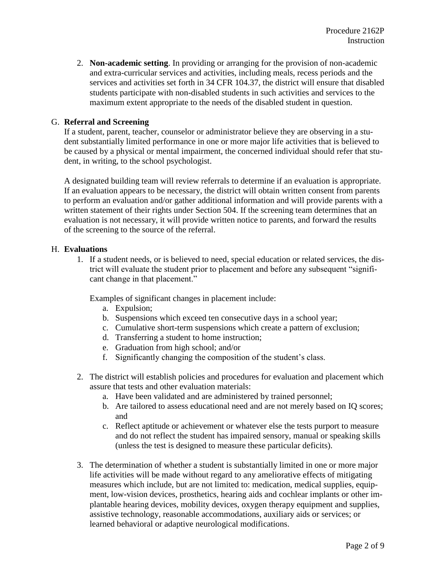2. **Non-academic setting**. In providing or arranging for the provision of non-academic and extra-curricular services and activities, including meals, recess periods and the services and activities set forth in [34 CFR 104.37,](http://www.ecfr.gov/cgi-bin/text-idx?c=ecfr&SID=2e27acef115fe033a9a837dfacb75ccc&rgn=div8&view=text&node=34:1.2.1.1.3.4.132.7&idno=34) the district will ensure that disabled students participate with non-disabled students in such activities and services to the maximum extent appropriate to the needs of the disabled student in question.

### G. **Referral and Screening**

If a student, parent, teacher, counselor or administrator believe they are observing in a student substantially limited performance in one or more major life activities that is believed to be caused by a physical or mental impairment, the concerned individual should refer that student, in writing, to the school psychologist.

A designated building team will review referrals to determine if an evaluation is appropriate. If an evaluation appears to be necessary, the district will obtain written consent from parents to perform an evaluation and/or gather additional information and will provide parents with a written statement of their rights under Section 504. If the screening team determines that an evaluation is not necessary, it will provide written notice to parents, and forward the results of the screening to the source of the referral.

#### H. **Evaluations**

1. If a student needs, or is believed to need, special education or related services, the district will evaluate the student prior to placement and before any subsequent "significant change in that placement."

Examples of significant changes in placement include:

- a. Expulsion;
- b. Suspensions which exceed ten consecutive days in a school year;
- c. Cumulative short-term suspensions which create a pattern of exclusion;
- d. Transferring a student to home instruction;
- e. Graduation from high school; and/or
- f. Significantly changing the composition of the student's class.
- 2. The district will establish policies and procedures for evaluation and placement which assure that tests and other evaluation materials:
	- a. Have been validated and are administered by trained personnel;
	- b. Are tailored to assess educational need and are not merely based on IQ scores; and
	- c. Reflect aptitude or achievement or whatever else the tests purport to measure and do not reflect the student has impaired sensory, manual or speaking skills (unless the test is designed to measure these particular deficits).
- 3. The determination of whether a student is substantially limited in one or more major life activities will be made without regard to any ameliorative effects of mitigating measures which include, but are not limited to: medication, medical supplies, equipment, low-vision devices, prosthetics, hearing aids and cochlear implants or other implantable hearing devices, mobility devices, oxygen therapy equipment and supplies, assistive technology, reasonable accommodations, auxiliary aids or services; or learned behavioral or adaptive neurological modifications.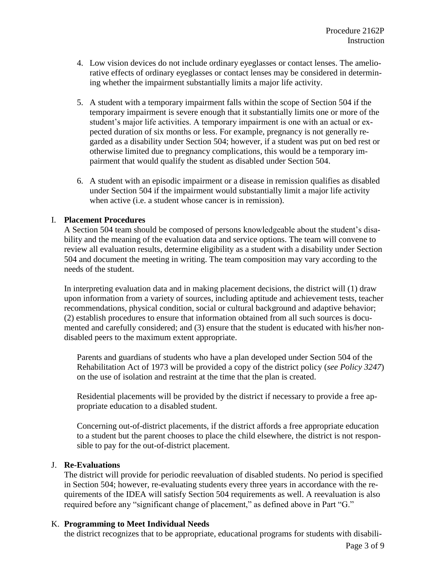- 4. Low vision devices do not include ordinary eyeglasses or contact lenses. The ameliorative effects of ordinary eyeglasses or contact lenses may be considered in determining whether the impairment substantially limits a major life activity.
- 5. A student with a temporary impairment falls within the scope of Section 504 if the temporary impairment is severe enough that it substantially limits one or more of the student's major life activities. A temporary impairment is one with an actual or expected duration of six months or less. For example, pregnancy is not generally regarded as a disability under Section 504; however, if a student was put on bed rest or otherwise limited due to pregnancy complications, this would be a temporary impairment that would qualify the student as disabled under Section 504.
- 6. A student with an episodic impairment or a disease in remission qualifies as disabled under Section 504 if the impairment would substantially limit a major life activity when active (*i.e.* a student whose cancer is in remission).

## I. **Placement Procedures**

A Section 504 team should be composed of persons knowledgeable about the student's disability and the meaning of the evaluation data and service options. The team will convene to review all evaluation results, determine eligibility as a student with a disability under Section 504 and document the meeting in writing. The team composition may vary according to the needs of the student.

In interpreting evaluation data and in making placement decisions, the district will (1) draw upon information from a variety of sources, including aptitude and achievement tests, teacher recommendations, physical condition, social or cultural background and adaptive behavior; (2) establish procedures to ensure that information obtained from all such sources is documented and carefully considered; and (3) ensure that the student is educated with his/her nondisabled peers to the maximum extent appropriate.

Parents and guardians of students who have a plan developed under Section 504 of the Rehabilitation Act of 1973 will be provided a copy of the district policy (*see Policy 3247*) on the use of isolation and restraint at the time that the plan is created.

Residential placements will be provided by the district if necessary to provide a free appropriate education to a disabled student.

Concerning out-of-district placements, if the district affords a free appropriate education to a student but the parent chooses to place the child elsewhere, the district is not responsible to pay for the out-of-district placement.

#### J. **Re-Evaluations**

The district will provide for periodic reevaluation of disabled students. No period is specified in Section 504; however, re-evaluating students every three years in accordance with the requirements of the IDEA will satisfy Section 504 requirements as well. A reevaluation is also required before any "significant change of placement," as defined above in Part "G."

# K. **Programming to Meet Individual Needs**

the district recognizes that to be appropriate, educational programs for students with disabili-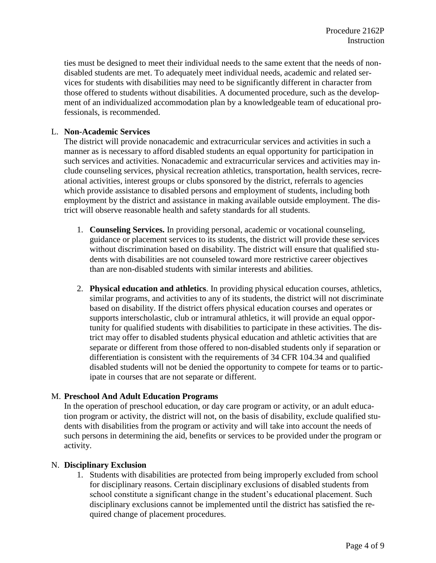ties must be designed to meet their individual needs to the same extent that the needs of nondisabled students are met. To adequately meet individual needs, academic and related services for students with disabilities may need to be significantly different in character from those offered to students without disabilities. A documented procedure, such as the development of an individualized accommodation plan by a knowledgeable team of educational professionals, is recommended.

#### L. **Non-Academic Services**

The district will provide nonacademic and extracurricular services and activities in such a manner as is necessary to afford disabled students an equal opportunity for participation in such services and activities. Nonacademic and extracurricular services and activities may include counseling services, physical recreation athletics, transportation, health services, recreational activities, interest groups or clubs sponsored by the district, referrals to agencies which provide assistance to disabled persons and employment of students, including both employment by the district and assistance in making available outside employment. The district will observe reasonable health and safety standards for all students.

- 1. **Counseling Services.** In providing personal, academic or vocational counseling, guidance or placement services to its students, the district will provide these services without discrimination based on disability. The district will ensure that qualified students with disabilities are not counseled toward more restrictive career objectives than are non-disabled students with similar interests and abilities.
- 2. **Physical education and athletics**. In providing physical education courses, athletics, similar programs, and activities to any of its students, the district will not discriminate based on disability. If the district offers physical education courses and operates or supports interscholastic, club or intramural athletics, it will provide an equal opportunity for qualified students with disabilities to participate in these activities. The district may offer to disabled students physical education and athletic activities that are separate or different from those offered to non-disabled students only if separation or differentiation is consistent with the requirements of [34 CFR 104.34](http://www.ecfr.gov/cgi-bin/text-idx?c=ecfr&SID=2e27acef115fe033a9a837dfacb75ccc&rgn=div8&view=text&node=34:1.2.1.1.3.4.132.4&idno=34) and qualified disabled students will not be denied the opportunity to compete for teams or to participate in courses that are not separate or different.

#### M. **Preschool And Adult Education Programs**

In the operation of preschool education, or day care program or activity, or an adult education program or activity, the district will not, on the basis of disability, exclude qualified students with disabilities from the program or activity and will take into account the needs of such persons in determining the aid, benefits or services to be provided under the program or activity.

#### N. **Disciplinary Exclusion**

1. Students with disabilities are protected from being improperly excluded from school for disciplinary reasons. Certain disciplinary exclusions of disabled students from school constitute a significant change in the student's educational placement. Such disciplinary exclusions cannot be implemented until the district has satisfied the required change of placement procedures.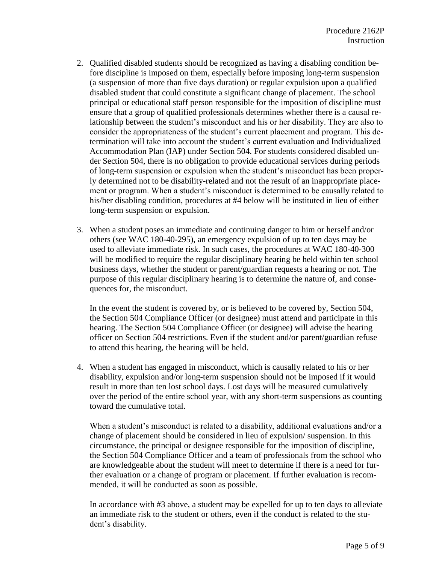- 2. Qualified disabled students should be recognized as having a disabling condition before discipline is imposed on them, especially before imposing long-term suspension (a suspension of more than five days duration) or regular expulsion upon a qualified disabled student that could constitute a significant change of placement. The school principal or educational staff person responsible for the imposition of discipline must ensure that a group of qualified professionals determines whether there is a causal relationship between the student's misconduct and his or her disability. They are also to consider the appropriateness of the student's current placement and program. This determination will take into account the student's current evaluation and Individualized Accommodation Plan (IAP) under Section 504. For students considered disabled under Section 504, there is no obligation to provide educational services during periods of long-term suspension or expulsion when the student's misconduct has been properly determined not to be disability-related and not the result of an inappropriate placement or program. When a student's misconduct is determined to be causally related to his/her disabling condition, procedures at #4 below will be instituted in lieu of either long-term suspension or expulsion.
- 3. When a student poses an immediate and continuing danger to him or herself and/or others (see [WAC 180-40-295\)](http://apps.leg.wa.gov/wac/default.aspx?cite=392-400-295), an emergency expulsion of up to ten days may be used to alleviate immediate risk. In such cases, the procedures at WAC [180-40-300](http://apps.leg.wa.gov/wac/default.aspx?cite=392-400-300) will be modified to require the regular disciplinary hearing be held within ten school business days, whether the student or parent/guardian requests a hearing or not. The purpose of this regular disciplinary hearing is to determine the nature of, and consequences for, the misconduct.

In the event the student is covered by, or is believed to be covered by, Section 504, the Section 504 Compliance Officer (or designee) must attend and participate in this hearing. The Section 504 Compliance Officer (or designee) will advise the hearing officer on Section 504 restrictions. Even if the student and/or parent/guardian refuse to attend this hearing, the hearing will be held.

4. When a student has engaged in misconduct, which is causally related to his or her disability, expulsion and/or long-term suspension should not be imposed if it would result in more than ten lost school days. Lost days will be measured cumulatively over the period of the entire school year, with any short-term suspensions as counting toward the cumulative total.

When a student's misconduct is related to a disability, additional evaluations and/or a change of placement should be considered in lieu of expulsion/ suspension. In this circumstance, the principal or designee responsible for the imposition of discipline, the Section 504 Compliance Officer and a team of professionals from the school who are knowledgeable about the student will meet to determine if there is a need for further evaluation or a change of program or placement. If further evaluation is recommended, it will be conducted as soon as possible.

In accordance with #3 above, a student may be expelled for up to ten days to alleviate an immediate risk to the student or others, even if the conduct is related to the student's disability.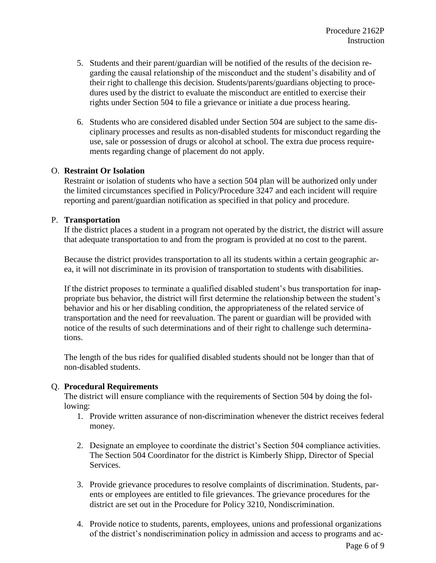- 5. Students and their parent/guardian will be notified of the results of the decision regarding the causal relationship of the misconduct and the student's disability and of their right to challenge this decision. Students/parents/guardians objecting to procedures used by the district to evaluate the misconduct are entitled to exercise their rights under Section 504 to file a grievance or initiate a due process hearing.
- 6. Students who are considered disabled under Section 504 are subject to the same disciplinary processes and results as non-disabled students for misconduct regarding the use, sale or possession of drugs or alcohol at school. The extra due process requirements regarding change of placement do not apply.

## O. **Restraint Or Isolation**

Restraint or isolation of students who have a section 504 plan will be authorized only under the limited circumstances specified in Policy/Procedure 3247 and each incident will require reporting and parent/guardian notification as specified in that policy and procedure.

#### P. **Transportation**

If the district places a student in a program not operated by the district, the district will assure that adequate transportation to and from the program is provided at no cost to the parent.

Because the district provides transportation to all its students within a certain geographic area, it will not discriminate in its provision of transportation to students with disabilities.

If the district proposes to terminate a qualified disabled student's bus transportation for inappropriate bus behavior, the district will first determine the relationship between the student's behavior and his or her disabling condition, the appropriateness of the related service of transportation and the need for reevaluation. The parent or guardian will be provided with notice of the results of such determinations and of their right to challenge such determinations.

The length of the bus rides for qualified disabled students should not be longer than that of non-disabled students.

# Q. **Procedural Requirements**

The district will ensure compliance with the requirements of Section 504 by doing the following:

- 1. Provide written assurance of non-discrimination whenever the district receives federal money.
- 2. Designate an employee to coordinate the district's Section 504 compliance activities. The Section 504 Coordinator for the district is Kimberly Shipp, Director of Special Services.
- 3. Provide grievance procedures to resolve complaints of discrimination. Students, parents or employees are entitled to file grievances. The grievance procedures for the district are set out in the Procedure for Policy 3210, Nondiscrimination.
- 4. Provide notice to students, parents, employees, unions and professional organizations of the district's nondiscrimination policy in admission and access to programs and ac-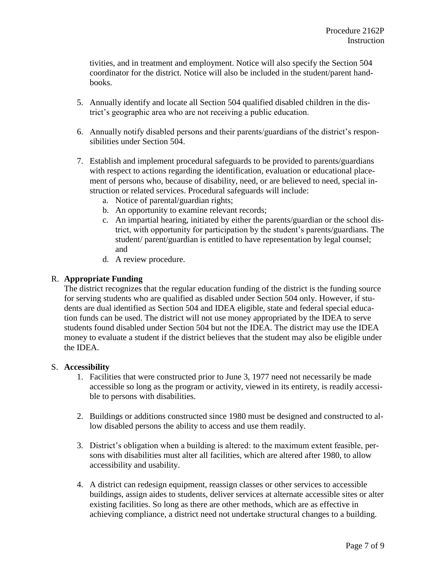tivities, and in treatment and employment. Notice will also specify the Section 504 coordinator for the district. Notice will also be included in the student/parent handbooks.

- 5. Annually identify and locate all Section 504 qualified disabled children in the district's geographic area who are not receiving a public education.
- 6. Annually notify disabled persons and their parents/guardians of the district's responsibilities under Section 504.
- 7. Establish and implement procedural safeguards to be provided to parents/guardians with respect to actions regarding the identification, evaluation or educational placement of persons who, because of disability, need, or are believed to need, special instruction or related services. Procedural safeguards will include:
	- a. Notice of parental/guardian rights;
	- b. An opportunity to examine relevant records;
	- c. An impartial hearing, initiated by either the parents/guardian or the school district, with opportunity for participation by the student's parents/guardians. The student/ parent/guardian is entitled to have representation by legal counsel; and
	- d. A review procedure.

## R. **Appropriate Funding**

The district recognizes that the regular education funding of the district is the funding source for serving students who are qualified as disabled under Section 504 only. However, if students are dual identified as Section 504 and IDEA eligible, state and federal special education funds can be used. The district will not use money appropriated by the IDEA to serve students found disabled under Section 504 but not the IDEA. The district may use the IDEA money to evaluate a student if the district believes that the student may also be eligible under the IDEA.

#### S. **Accessibility**

- 1. Facilities that were constructed prior to June 3, 1977 need not necessarily be made accessible so long as the program or activity, viewed in its entirety, is readily accessible to persons with disabilities.
- 2. Buildings or additions constructed since 1980 must be designed and constructed to allow disabled persons the ability to access and use them readily.
- 3. District's obligation when a building is altered: to the maximum extent feasible, persons with disabilities must alter all facilities, which are altered after 1980, to allow accessibility and usability.
- 4. A district can redesign equipment, reassign classes or other services to accessible buildings, assign aides to students, deliver services at alternate accessible sites or alter existing facilities. So long as there are other methods, which are as effective in achieving compliance, a district need not undertake structural changes to a building.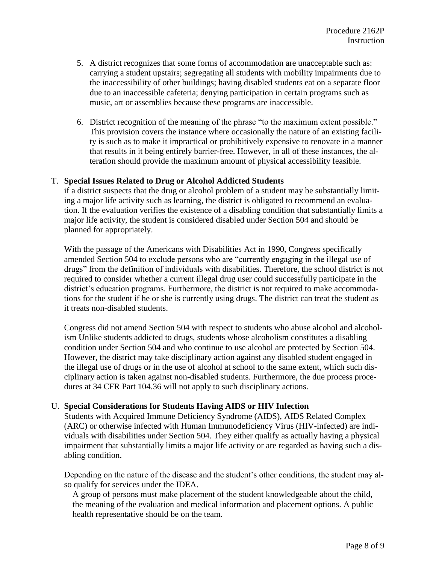- 5. A district recognizes that some forms of accommodation are unacceptable such as: carrying a student upstairs; segregating all students with mobility impairments due to the inaccessibility of other buildings; having disabled students eat on a separate floor due to an inaccessible cafeteria; denying participation in certain programs such as music, art or assemblies because these programs are inaccessible.
- 6. District recognition of the meaning of the phrase "to the maximum extent possible." This provision covers the instance where occasionally the nature of an existing facility is such as to make it impractical or prohibitively expensive to renovate in a manner that results in it being entirely barrier-free. However, in all of these instances, the alteration should provide the maximum amount of physical accessibility feasible.

#### T. **Special Issues Related** t**o Drug or Alcohol Addicted Students**

if a district suspects that the drug or alcohol problem of a student may be substantially limiting a major life activity such as learning, the district is obligated to recommend an evaluation. If the evaluation verifies the existence of a disabling condition that substantially limits a major life activity, the student is considered disabled under Section 504 and should be planned for appropriately.

With the passage of the Americans with Disabilities Act in 1990, Congress specifically amended Section 504 to exclude persons who are "currently engaging in the illegal use of drugs" from the definition of individuals with disabilities. Therefore, the school district is not required to consider whether a current illegal drug user could successfully participate in the district's education programs. Furthermore, the district is not required to make accommodations for the student if he or she is currently using drugs. The district can treat the student as it treats non-disabled students.

Congress did not amend Section 504 with respect to students who abuse alcohol and alcoholism Unlike students addicted to drugs, students whose alcoholism constitutes a disabling condition under Section 504 and who continue to use alcohol are protected by Section 504. However, the district may take disciplinary action against any disabled student engaged in the illegal use of drugs or in the use of alcohol at school to the same extent, which such disciplinary action is taken against non-disabled students. Furthermore, the due process procedures at [34 CFR Part 104.36](http://www.ecfr.gov/cgi-bin/text-idx?c=ecfr&SID=a8d65a3c5e40752013bc69acd7123b05&rgn=div8&view=text&node=34:1.2.1.1.3.4.132.6&idno=34) will not apply to such disciplinary actions.

#### U. **Special Considerations for Students Having AIDS or HIV Infection**

Students with Acquired Immune Deficiency Syndrome (AIDS), AIDS Related Complex (ARC) or otherwise infected with Human Immunodeficiency Virus (HIV-infected) are individuals with disabilities under Section 504. They either qualify as actually having a physical impairment that substantially limits a major life activity or are regarded as having such a disabling condition.

Depending on the nature of the disease and the student's other conditions, the student may also qualify for services under the IDEA.

A group of persons must make placement of the student knowledgeable about the child, the meaning of the evaluation and medical information and placement options. A public health representative should be on the team.